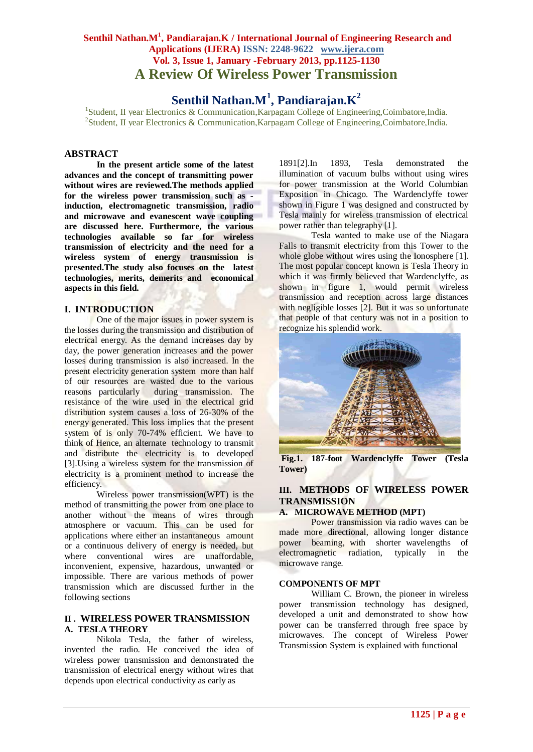# **Senthil Nathan.M<sup>1</sup> , Pandiarajan.K / International Journal of Engineering Research and Applications (IJERA) ISSN: 2248-9622 www.ijera.com Vol. 3, Issue 1, January -February 2013, pp.1125-1130 A Review Of Wireless Power Transmission**

# **Senthil Nathan.M<sup>1</sup> , Pandiarajan.K<sup>2</sup>**

<sup>1</sup>Student, II year Electronics & Communication, Karpagam College of Engineering, Coimbatore, India. <sup>2</sup>Student, II year Electronics & Communication, Karpagam College of Engineering, Coimbatore, India.

## **ABSTRACT**

**In the present article some of the latest advances and the concept of transmitting power without wires are reviewed.The methods applied for the wireless power transmission such as induction, electromagnetic transmission, radio and microwave and evanescent wave coupling are discussed here. Furthermore, the various technologies available so far for wireless transmission of electricity and the need for a wireless system of energy transmission is presented.The study also focuses on the latest technologies, merits, demerits and economical aspects in this field.**

#### **I. INTRODUCTION**

One of the major issues in power system is the losses during the transmission and distribution of electrical energy. As the demand increases day by day, the power generation increases and the power losses during transmission is also increased. In the present electricity generation system more than half of our resources are wasted due to the various reasons particularly during transmission. The resistance of the wire used in the electrical grid distribution system causes a loss of 26-30% of the energy generated. This loss implies that the present system of is only 70-74% efficient. We have to think of Hence, an alternate technology to transmit and distribute the electricity is to developed [3].Using a wireless system for the transmission of electricity is a prominent method to increase the efficiency.

Wireless power transmission(WPT) is the method of transmitting the power from one place to another without the means of wires through atmosphere or vacuum. This can be used for applications where either an instantaneous amount or a continuous delivery of energy is needed, but where conventional wires are unaffordable, inconvenient, expensive, hazardous, unwanted or impossible. There are various methods of power transmission which are discussed further in the following sections

## **II . WIRELESS POWER TRANSMISSION A. TESLA THEORY**

Nikola Tesla, the father of wireless, invented the radio. He conceived the idea of wireless power transmission and demonstrated the transmission of electrical energy without wires that depends upon electrical conductivity as early as

1891[2].In 1893, Tesla demonstrated the illumination of vacuum bulbs without using wires for power transmission at the World Columbian Exposition in Chicago. The Wardenclyffe tower shown in Figure 1 was designed and constructed by Tesla mainly for wireless transmission of electrical power rather than telegraphy [1].

Tesla wanted to make use of the Niagara Falls to transmit electricity from this Tower to the whole globe without wires using the Ionosphere [1]. The most popular concept known is Tesla Theory in which it was firmly believed that Wardenclyffe, as shown in figure 1, would permit wireless transmission and reception across large distances with negligible losses [2]. But it was so unfortunate that people of that century was not in a position to recognize his splendid work.



**Fig.1. 187-foot Wardenclyffe Tower (Tesla Tower)**

## **III. METHODS OF WIRELESS POWER TRANSMISSION**

#### **A. MICROWAVE METHOD (MPT)**

Power transmission via radio waves can be made more directional, allowing longer distance power beaming, with shorter wavelengths of electromagnetic radiation, typically in the microwave range.

#### **COMPONENTS OF MPT**

William C. Brown, the pioneer in wireless power transmission technology has designed, developed a unit and demonstrated to show how power can be transferred through free space by microwaves. The concept of Wireless Power Transmission System is explained with functional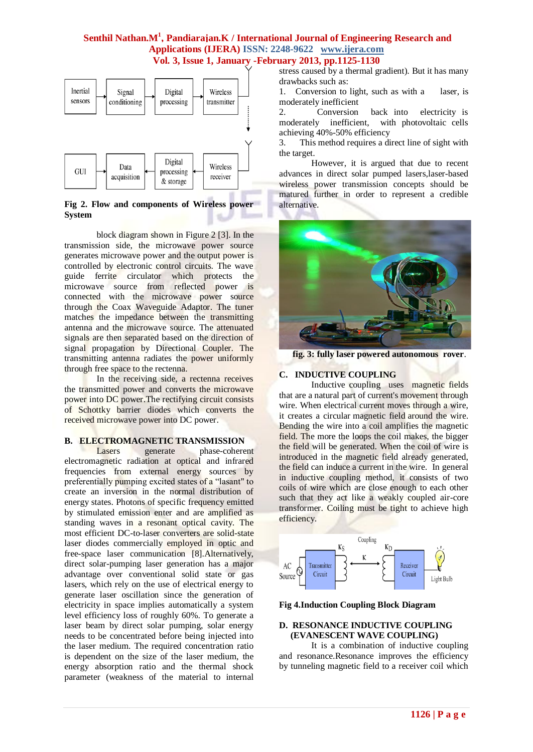

#### **Fig 2. Flow and components of Wireless power System**

block diagram shown in Figure 2 [3]. In the transmission side, the microwave power source generates microwave power and the output power is controlled by electronic control circuits. The wave guide ferrite circulator which protects the microwave source from reflected power is connected with the microwave power source through the Coax Waveguide Adaptor. The tuner matches the impedance between the transmitting antenna and the microwave source. The attenuated signals are then separated based on the direction of signal propagation by Directional Coupler. The transmitting antenna radiates the power uniformly through free space to the rectenna.

In the receiving side, a rectenna receives the transmitted power and converts the microwave power into DC power.The rectifying circuit consists of Schottky barrier diodes which converts the received microwave power into DC power.

#### **B. ELECTROMAGNETIC TRANSMISSION**

Lasers generate phase-coherent electromagnetic radiation at optical and infrared frequencies from external energy sources by preferentially pumping excited states of a "lasant" to create an inversion in the normal distribution of energy states. Photons of specific frequency emitted by stimulated emission enter and are amplified as standing waves in a resonant optical cavity. The most efficient DC-to-laser converters are solid-state laser diodes commercially employed in optic and free-space laser communication [8].Alternatively, direct solar-pumping laser generation has a major advantage over conventional solid state or gas lasers, which rely on the use of electrical energy to generate laser oscillation since the generation of electricity in space implies automatically a system level efficiency loss of roughly 60%. To generate a laser beam by direct solar pumping, solar energy needs to be concentrated before being injected into the laser medium. The required concentration ratio is dependent on the size of the laser medium, the energy absorption ratio and the thermal shock parameter (weakness of the material to internal stress caused by a thermal gradient). But it has many drawbacks such as:

1. Conversion to light, such as with a laser, is moderately inefficient

2. Conversion back into electricity is moderately inefficient, with photovoltaic cells achieving 40%-50% efficiency

3. This method requires a direct line of sight with the target.

However, it is argued that due to recent advances in direct solar pumped lasers,laser-based wireless power transmission concepts should be matured further in order to represent a credible alternative.



 **fig. 3: fully laser powered autonomous rover**.

## **C. INDUCTIVE COUPLING**

Inductive coupling uses magnetic fields that are a natural part of current's movement through wire. When electrical current moves through a wire, it creates a circular magnetic field around the wire. Bending the wire into a coil amplifies the magnetic field. The more the loops the coil makes, the bigger the field will be generated. When the coil of wire is introduced in the magnetic field already generated, the field can induce a current in the wire. In general in inductive coupling method, it consists of two coils of wire which are close enough to each other such that they act like a weakly coupled air-core transformer. Coiling must be tight to achieve high efficiency.



**Fig 4.Induction Coupling Block Diagram**

#### **D. RESONANCE INDUCTIVE COUPLING (EVANESCENT WAVE COUPLING)**

It is a combination of inductive coupling and resonance.Resonance improves the efficiency by tunneling magnetic field to a receiver coil which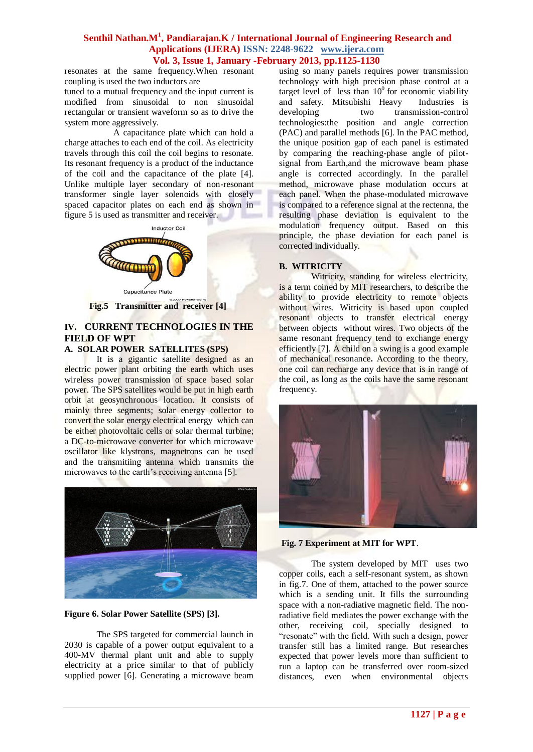resonates at the same frequency.When resonant coupling is used the two inductors are

tuned to a mutual frequency and the input current is modified from sinusoidal to non sinusoidal rectangular or transient waveform so as to drive the system more aggressively.

 A capacitance plate which can hold a charge attaches to each end of the coil. As electricity travels through this coil the coil begins to resonate. Its resonant frequency is a product of the inductance of the coil and the capacitance of the plate [4]. Unlike multiple layer secondary of non-resonant transformer single layer solenoids with closely spaced capacitor plates on each end as shown in figure 5 is used as transmitter and receiver.



#### **Fig.5 Transmitter and receiver [4]**

## **IV. CURRENT TECHNOLOGIES IN THE FIELD OF WPT**

## **A. SOLAR POWER SATELLITES (SPS)**

It is a gigantic satellite designed as an electric power plant orbiting the earth which uses wireless power transmission of space based solar power. The SPS satellites would be put in high earth orbit at geosynchronous location. It consists of mainly three segments; solar energy collector to convert the solar energy electrical energy which can be either photovoltaic cells or solar thermal turbine; a DC-to-microwave converter for which microwave oscillator like klystrons, magnetrons can be used and the transmitiing antenna which transmits the microwaves to the earth's receiving antenna [5].



#### **Figure 6. Solar Power Satellite (SPS) [3].**

The SPS targeted for commercial launch in 2030 is capable of a power output equivalent to a 400-MV thermal plant unit and able to supply electricity at a price similar to that of publicly supplied power [6]. Generating a microwave beam using so many panels requires power transmission technology with high precision phase control at a target level of less than  $10^0$  for economic viability and safety. Mitsubishi Heavy Industries is developing two transmission-control technologies:the position and angle correction (PAC) and parallel methods [6]. In the PAC method, the unique position gap of each panel is estimated by comparing the reaching-phase angle of pilotsignal from Earth,and the microwave beam phase angle is corrected accordingly. In the parallel method, microwave phase modulation occurs at each panel. When the phase-modulated microwave is compared to a reference signal at the rectenna, the resulting phase deviation is equivalent to the modulation frequency output. Based on this principle, the phase deviation for each panel is corrected individually.

#### **B. WITRICITY**

Witricity, standing for wireless electricity, is a term coined by MIT researchers, to describe the ability to provide electricity to remote objects without wires. Witricity is based upon coupled resonant objects to transfer electrical energy between objects without wires. Two objects of the same resonant frequency tend to exchange energy efficiently [7]. A child on a swing is a good example of mechanical resonance**.** According to the theory, one coil can recharge any device that is in range of the coil, as long as the coils have the same resonant frequency.



**Fig. 7 Experiment at MIT for WPT**.

The system developed by MIT uses two copper coils, each a self-resonant system, as shown in fig.7. One of them, attached to the power source which is a sending unit. It fills the surrounding space with a non-radiative magnetic field. The nonradiative field mediates the power exchange with the other, receiving coil, specially designed to "resonate" with the field. With such a design, power transfer still has a limited range. But researches expected that power levels more than sufficient to run a laptop can be transferred over room-sized distances, even when environmental objects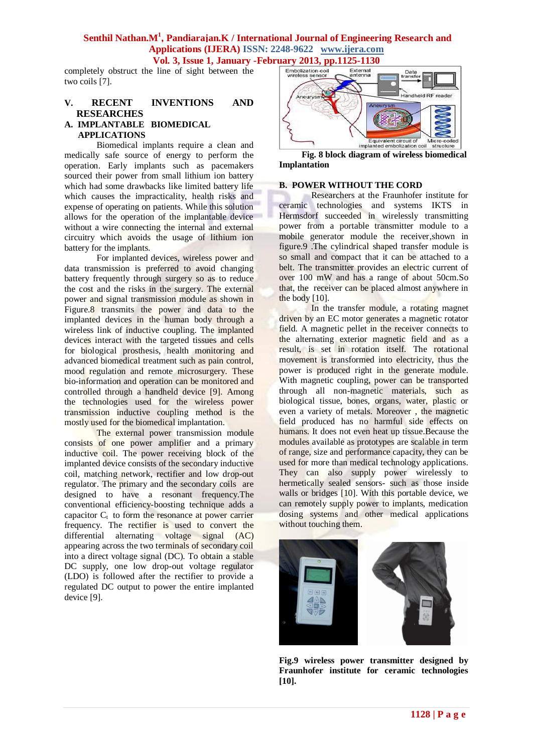completely obstruct the line of sight between the two coils [7].

# **V. RECENT INVENTIONS AND RESEARCHES**

#### **A. IMPLANTABLE BIOMEDICAL APPLICATIONS**

Biomedical implants require a clean and medically safe source of energy to perform the operation. Early implants such as pacemakers sourced their power from small lithium ion battery which had some drawbacks like limited battery life which causes the impracticality, health risks and expense of operating on patients. While this solution allows for the operation of the implantable device without a wire connecting the internal and external circuitry which avoids the usage of lithium ion battery for the implants.

For implanted devices, wireless power and data transmission is preferred to avoid changing battery frequently through surgery so as to reduce the cost and the risks in the surgery. The external power and signal transmission module as shown in Figure.8 transmits the power and data to the implanted devices in the human body through a wireless link of inductive coupling. The implanted devices interact with the targeted tissues and cells for biological prosthesis, health monitoring and advanced biomedical treatment such as pain control, mood regulation and remote microsurgery. These bio-information and operation can be monitored and controlled through a handheld device [9]. Among the technologies used for the wireless power transmission inductive coupling method is the mostly used for the biomedical implantation.

The external power transmission module consists of one power amplifier and a primary inductive coil. The power receiving block of the implanted device consists of the secondary inductive coil, matching network, rectifier and low drop-out regulator. The primary and the secondary coils are designed to have a resonant frequency.The conventional efficiency-boosting technique adds a capacitor  $C_t$  to form the resonance at power carrier frequency. The rectifier is used to convert the differential alternating voltage signal (AC) appearing across the two terminals of secondary coil into a direct voltage signal (DC). To obtain a stable DC supply, one low drop-out voltage regulator (LDO) is followed after the rectifier to provide a regulated DC output to power the entire implanted device [9].



 **Fig. 8 block diagram of wireless biomedical Implantation**

## **B. POWER WITHOUT THE CORD**

Researchers at the Fraunhofer institute for ceramic technologies and systems IKTS in Hermsdorf succeeded in wirelessly transmitting power from a portable transmitter module to a mobile generator module the receiver,shown in figure.9 .The cylindrical shaped transfer module is so small and compact that it can be attached to a belt. The transmitter provides an electric current of over 100 mW and has a range of about 50cm.So that, the receiver can be placed almost anywhere in the body [10].

In the transfer module, a rotating magnet driven by an EC motor generates a magnetic rotator field. A magnetic pellet in the receiver connects to the alternating exterior magnetic field and as a result, is set in rotation itself. The rotational movement is transformed into electricity, thus the power is produced right in the generate module. With magnetic coupling, power can be transported through all non-magnetic materials, such as biological tissue, bones, organs, water, plastic or even a variety of metals. Moreover , the magnetic field produced has no harmful side effects on humans. It does not even heat up tissue.Because the modules available as prototypes are scalable in term of range, size and performance capacity, they can be used for more than medical technology applications. They can also supply power wirelessly to hermetically sealed sensors- such as those inside walls or bridges [10]. With this portable device, we can remotely supply power to implants, medication dosing systems and other medical applications without touching them.



**Fig.9 wireless power transmitter designed by Fraunhofer institute for ceramic technologies [10].**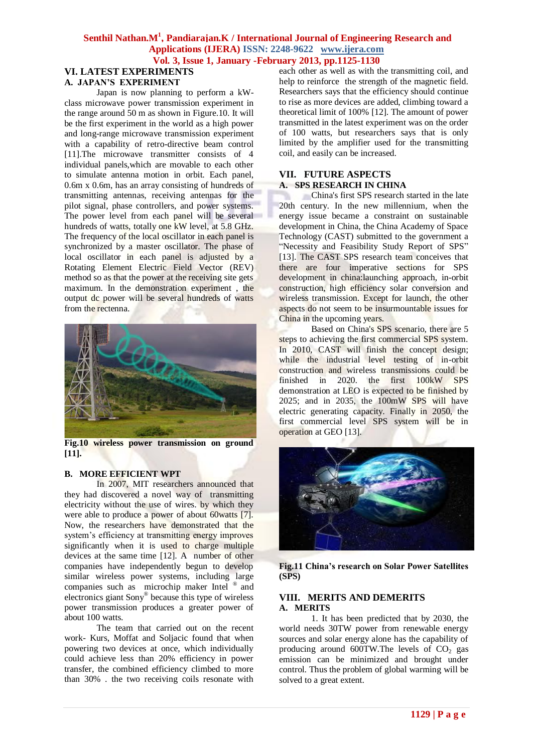## **VI. LATEST EXPERIMENTS A. JAPAN'S EXPERIMENT**

Japan is now planning to perform a kWclass microwave power transmission experiment in the range around 50 m as shown in Figure.10. It will be the first experiment in the world as a high power and long-range microwave transmission experiment with a capability of retro-directive beam control [11].The microwave transmitter consists of 4 individual panels,which are movable to each other to simulate antenna motion in orbit. Each panel, 0.6m x 0.6m, has an array consisting of hundreds of transmitting antennas, receiving antennas for the pilot signal, phase controllers, and power systems. The power level from each panel will be several hundreds of watts, totally one kW level, at 5.8 GHz. The frequency of the local oscillator in each panel is synchronized by a master oscillator. The phase of local oscillator in each panel is adjusted by a Rotating Element Electric Field Vector (REV) method so as that the power at the receiving site gets maximum. In the demonstration experiment , the output dc power will be several hundreds of watts from the rectenna.



**Fig.10 wireless power transmission on ground [11].**

#### **B. MORE EFFICIENT WPT**

In 2007, MIT researchers announced that they had discovered a novel way of transmitting electricity without the use of wires. by which they were able to produce a power of about 60 watts [7]. Now, the researchers have demonstrated that the system's efficiency at transmitting energy improves significantly when it is used to charge multiple devices at the same time [12]. A number of other companies have independently begun to develop similar wireless power systems, including large companies such as microchip maker Intel ® and electronics giant Sony® because this type of wireless power transmission produces a greater power of about 100 watts.

The team that carried out on the recent work- Kurs, Moffat and Soljacic found that when powering two devices at once, which individually could achieve less than 20% efficiency in power transfer, the combined efficiency climbed to more than 30% . the two receiving coils resonate with each other as well as with the transmitting coil, and help to reinforce the strength of the magnetic field. Researchers says that the efficiency should continue to rise as more devices are added, climbing toward a theoretical limit of 100% [12]. The amount of power transmitted in the latest experiment was on the order of 100 watts, but researchers says that is only limited by the amplifier used for the transmitting coil, and easily can be increased.

#### **VII. FUTURE ASPECTS A. SPS RESEARCH IN CHINA**

China's first SPS research started in the late 20th century. In the new millennium, when the energy issue became a constraint on sustainable development in China, the China Academy of Space Technology (CAST) submitted to the government a "Necessity and Feasibility Study Report of SPS" [13]. The CAST SPS research team conceives that there are four imperative sections for SPS development in china:launching approach, in-orbit construction, high efficiency solar conversion and wireless transmission. Except for launch, the other aspects do not seem to be insurmountable issues for China in the upcoming years.

Based on China's SPS scenario, there are 5 steps to achieving the first commercial SPS system. In 2010, CAST will finish the concept design; while the industrial level testing of in-orbit construction and wireless transmissions could be finished in 2020. the first 100kW SPS demonstration at LEO is expected to be finished by 2025; and in 2035, the 100mW SPS will have electric generating capacity. Finally in 2050, the first commercial level SPS system will be in operation at GEO [13].



**Fig.11 China's research on Solar Power Satellites (SPS)**

## **VIII. MERITS AND DEMERITS A. MERITS**

1. It has been predicted that by 2030, the world needs 30TW power from renewable energy sources and solar energy alone has the capability of producing around 600TW. The levels of  $CO<sub>2</sub>$  gas emission can be minimized and brought under control. Thus the problem of global warming will be solved to a great extent.